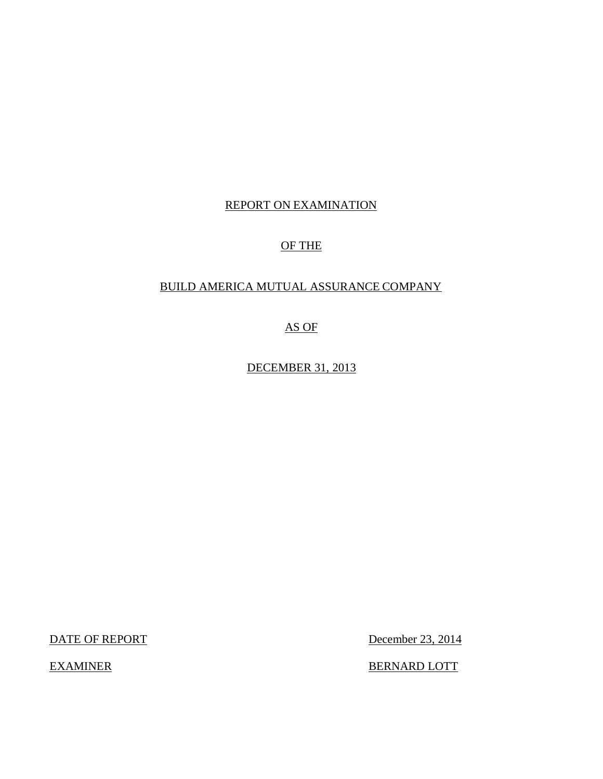## REPORT ON EXAMINATION

## OF THE

## BUILD AMERICA MUTUAL ASSURANCE COMPANY

AS OF

DECEMBER 31, 2013

DATE OF REPORT December 23, 2014

EXAMINER BERNARD LOTT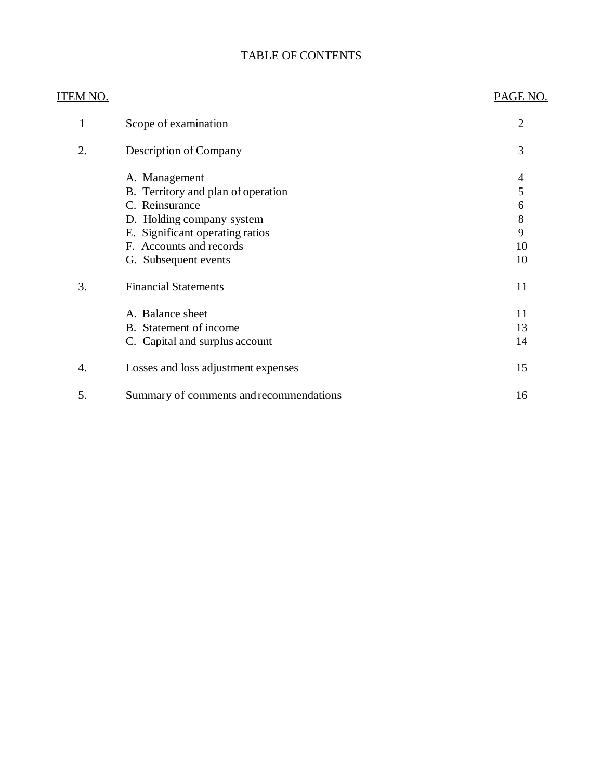## TABLE OF CONTENTS

| <u>ITEM NO.</u> |                                         | PAGE NO.       |
|-----------------|-----------------------------------------|----------------|
| 1               | Scope of examination                    | $\overline{2}$ |
| 2.              | Description of Company                  | 3              |
|                 | A. Management                           | $\overline{4}$ |
|                 | B. Territory and plan of operation      | 5              |
|                 | C. Reinsurance                          | 6              |
|                 | D. Holding company system               | 8              |
|                 | E. Significant operating ratios         | 9              |
|                 | F. Accounts and records                 | 10             |
|                 | G. Subsequent events                    | 10             |
| 3.              | <b>Financial Statements</b>             | 11             |
|                 | A. Balance sheet                        | 11             |
|                 | B. Statement of income                  | 13             |
|                 | C. Capital and surplus account          | 14             |
| 4.              | Losses and loss adjustment expenses     | 15             |
| 5.              | Summary of comments and recommendations | 16             |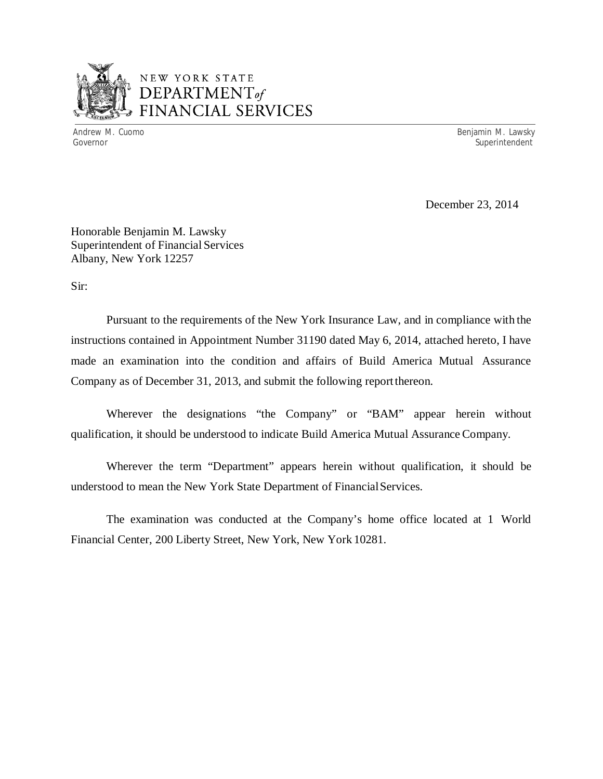

## NEW YORK STATE *DEPARTMENTof*  FINANCIAL SERVICES

Andrew M. Cuomo **Benjamin M. Lawsky** Governor Superintendent Controller Controller Controller Controller Controller Controller Controller Controller<br>
Superintendent Controller Controller Controller Controller Controller Controller Controller Controller Contro

December 23, 2014

Honorable Benjamin M. Lawsky Superintendent of Financial Services Albany, New York 12257

Sir:

Pursuant to the requirements of the New York Insurance Law, and in compliance with the instructions contained in Appointment Number 31190 dated May 6, 2014, attached hereto, I have made an examination into the condition and affairs of Build America Mutual Assurance Company as of December 31, 2013, and submit the following reportthereon.

Wherever the designations "the Company" or "BAM" appear herein without qualification, it should be understood to indicate Build America Mutual Assurance Company.

Wherever the term "Department" appears herein without qualification, it should be understood to mean the New York State Department of FinancialServices.

The examination was conducted at the Company's home office located at 1 World Financial Center, 200 Liberty Street, New York, New York 10281.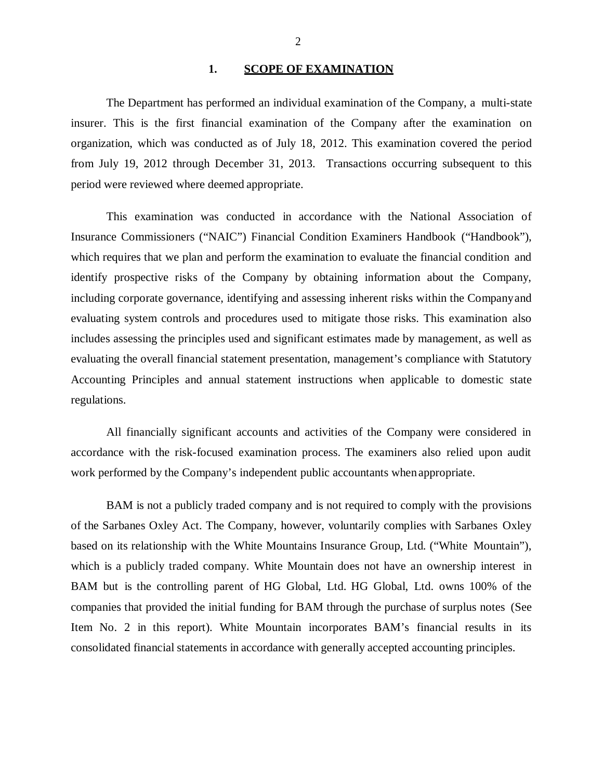#### **1. SCOPE OF EXAMINATION**

<span id="page-3-0"></span>The Department has performed an individual examination of the Company, a multi-state insurer. This is the first financial examination of the Company after the examination on organization, which was conducted as of July 18, 2012. This examination covered the period from July 19, 2012 through December 31, 2013. Transactions occurring subsequent to this period were reviewed where deemed appropriate.

This examination was conducted in accordance with the National Association of Insurance Commissioners ("NAIC") Financial Condition Examiners Handbook ("Handbook"), which requires that we plan and perform the examination to evaluate the financial condition and identify prospective risks of the Company by obtaining information about the Company, including corporate governance, identifying and assessing inherent risks within the Companyand evaluating system controls and procedures used to mitigate those risks. This examination also includes assessing the principles used and significant estimates made by management, as well as evaluating the overall financial statement presentation, management's compliance with Statutory Accounting Principles and annual statement instructions when applicable to domestic state regulations.

All financially significant accounts and activities of the Company were considered in accordance with the risk-focused examination process. The examiners also relied upon audit work performed by the Company's independent public accountants when appropriate.

BAM is not a publicly traded company and is not required to comply with the provisions of the Sarbanes Oxley Act. The Company, however, voluntarily complies with Sarbanes Oxley based on its relationship with the White Mountains Insurance Group, Ltd. ("White Mountain"), which is a publicly traded company. White Mountain does not have an ownership interest in BAM but is the controlling parent of HG Global, Ltd. HG Global, Ltd. owns 100% of the companies that provided the initial funding for BAM through the purchase of surplus notes (See Item No. 2 in this report). White Mountain incorporates BAM's financial results in its consolidated financial statements in accordance with generally accepted accounting principles.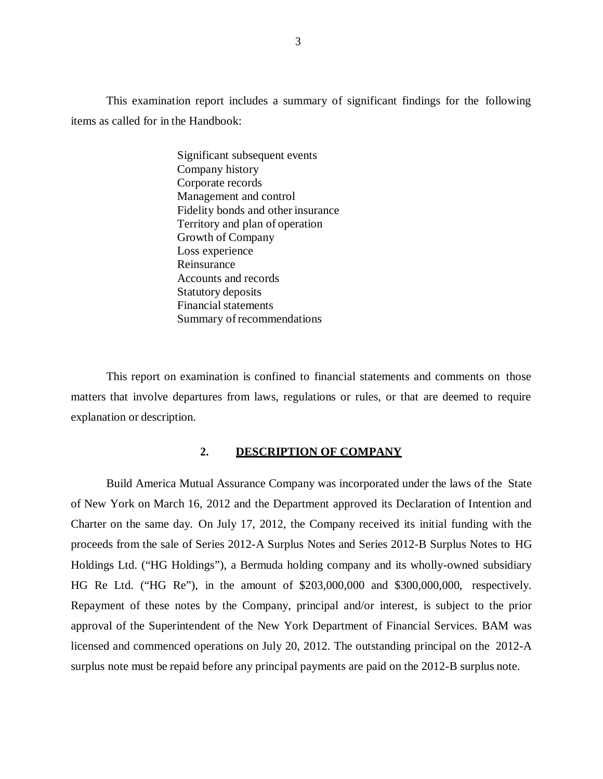<span id="page-4-0"></span>This examination report includes a summary of significant findings for the following items as called for in the Handbook:

> Significant subsequent events Company history Corporate records Management and control Fidelity bonds and other insurance Territory and plan of operation Growth of Company Loss experience Reinsurance Accounts and records Statutory deposits Financial statements Summary of recommendations

This report on examination is confined to financial statements and comments on those matters that involve departures from laws, regulations or rules, or that are deemed to require explanation or description.

#### **2. DESCRIPTION OF COMPANY**

Build America Mutual Assurance Company was incorporated under the laws of the State of New York on March 16, 2012 and the Department approved its Declaration of Intention and Charter on the same day. On July 17, 2012, the Company received its initial funding with the proceeds from the sale of Series 2012-A Surplus Notes and Series 2012-B Surplus Notes to HG Holdings Ltd. ("HG Holdings"), a Bermuda holding company and its wholly-owned subsidiary HG Re Ltd. ("HG Re"), in the amount of \$203,000,000 and \$300,000,000, respectively. Repayment of these notes by the Company, principal and/or interest, is subject to the prior approval of the Superintendent of the New York Department of Financial Services. BAM was licensed and commenced operations on July 20, 2012. The outstanding principal on the 2012-A surplus note must be repaid before any principal payments are paid on the 2012-B surplus note.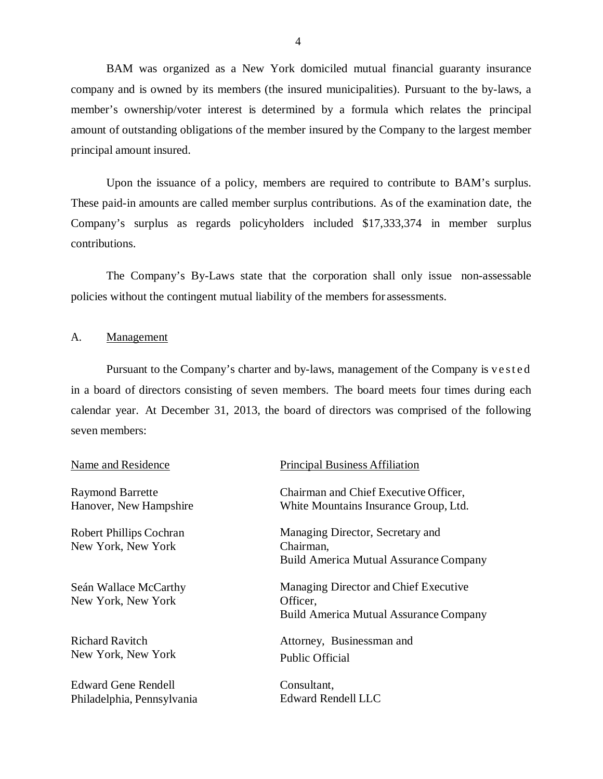BAM was organized as a New York domiciled mutual financial guaranty insurance company and is owned by its members (the insured municipalities). Pursuant to the by-laws, a member's ownership/voter interest is determined by a formula which relates the principal amount of outstanding obligations of the member insured by the Company to the largest member principal amount insured.

Upon the issuance of a policy, members are required to contribute to BAM's surplus. These paid-in amounts are called member surplus contributions. As of the examination date, the Company's surplus as regards policyholders included \$17,333,374 in member surplus contributions.

The Company's By-Laws state that the corporation shall only issue non-assessable policies without the contingent mutual liability of the members forassessments.

#### A. Management

Pursuant to the Company's charter and by-laws, management of the Company is vested in a board of directors consisting of seven members. The board meets four times during each calendar year. At December 31, 2013, the board of directors was comprised of the following seven members:

Raymond Barrette Hanover, New Hampshire

Robert Phillips Cochran New York, New York

Seán Wallace McCarthy New York, New York

Richard Ravitch New York, New York

Edward Gene Rendell Philadelphia, Pennsylvania

#### Name and Residence Principal Business Affiliation

Chairman and Chief Executive Officer, White Mountains Insurance Group, Ltd.

Managing Director, Secretary and Chairman, Build America Mutual Assurance Company

Managing Director and Chief Executive Officer, Build America Mutual Assurance Company

Attorney, Businessman and Public Official

Consultant, Edward Rendell LLC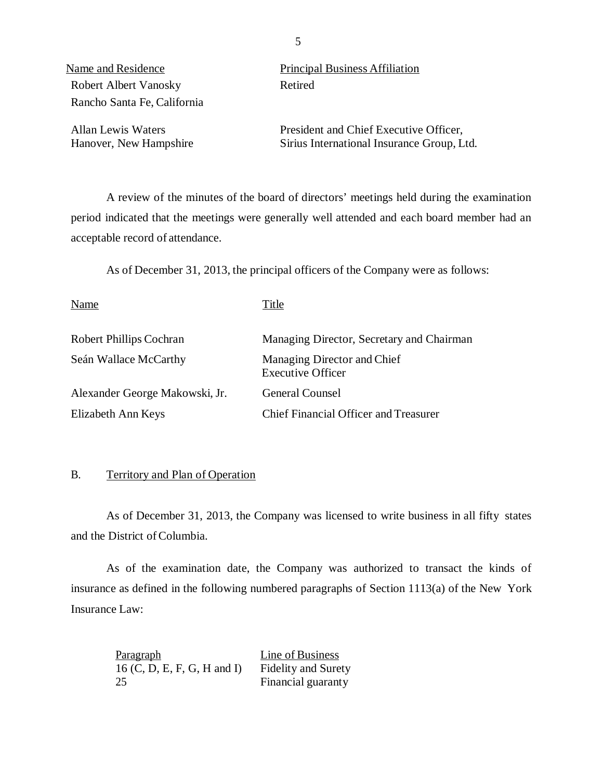Robert Albert Vanosky Retired Rancho Santa Fe, California

Name and Residence Principal Business Affiliation

Allan Lewis Waters President and Chief Executive Officer, Hanover, New Hampshire Sirius International Insurance Group, Ltd.

A review of the minutes of the board of directors' meetings held during the examination period indicated that the meetings were generally well attended and each board member had an acceptable record of attendance.

As of December 31, 2013, the principal officers of the Company were as follows:

| Name                           | Title                                                   |
|--------------------------------|---------------------------------------------------------|
| <b>Robert Phillips Cochran</b> | Managing Director, Secretary and Chairman               |
| Seán Wallace McCarthy          | Managing Director and Chief<br><b>Executive Officer</b> |
| Alexander George Makowski, Jr. | <b>General Counsel</b>                                  |
| Elizabeth Ann Keys             | <b>Chief Financial Officer and Treasurer</b>            |

#### B. Territory and Plan of Operation

As of December 31, 2013, the Company was licensed to write business in all fifty states and the District of Columbia.

As of the examination date, the Company was authorized to transact the kinds of insurance as defined in the following numbered paragraphs of Section 1113(a) of the New York Insurance Law:

| <b>Paragraph</b>              | Line of Business           |
|-------------------------------|----------------------------|
| $16$ (C, D, E, F, G, H and I) | <b>Fidelity and Surety</b> |
| 25                            | Financial guaranty         |

5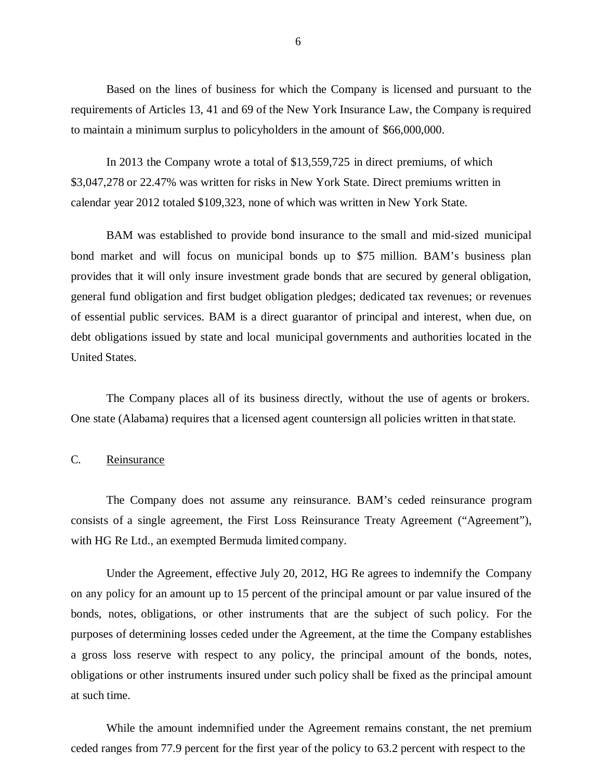<span id="page-7-0"></span>Based on the lines of business for which the Company is licensed and pursuant to the requirements of Articles 13, 41 and 69 of the New York Insurance Law, the Company is required to maintain a minimum surplus to policyholders in the amount of \$66,000,000.

In 2013 the Company wrote a total of \$13,559,725 in direct premiums, of which \$3,047,278 or 22.47% was written for risks in New York State. Direct premiums written in calendar year 2012 totaled \$109,323, none of which was written in New York State.

BAM was established to provide bond insurance to the small and mid-sized municipal bond market and will focus on municipal bonds up to \$75 million. BAM's business plan provides that it will only insure investment grade bonds that are secured by general obligation, general fund obligation and first budget obligation pledges; dedicated tax revenues; or revenues of essential public services. BAM is a direct guarantor of principal and interest, when due, on debt obligations issued by state and local municipal governments and authorities located in the United States.

The Company places all of its business directly, without the use of agents or brokers. One state (Alabama) requires that a licensed agent countersign all policies written in that state.

#### C. Reinsurance

The Company does not assume any reinsurance. BAM's ceded reinsurance program consists of a single agreement, the First Loss Reinsurance Treaty Agreement ("Agreement"), with HG Re Ltd., an exempted Bermuda limited company.

Under the Agreement, effective July 20, 2012, HG Re agrees to indemnify the Company on any policy for an amount up to 15 percent of the principal amount or par value insured of the bonds, notes, obligations, or other instruments that are the subject of such policy. For the purposes of determining losses ceded under the Agreement, at the time the Company establishes a gross loss reserve with respect to any policy, the principal amount of the bonds, notes, obligations or other instruments insured under such policy shall be fixed as the principal amount at such time.

While the amount indemnified under the Agreement remains constant, the net premium ceded ranges from 77.9 percent for the first year of the policy to 63.2 percent with respect to the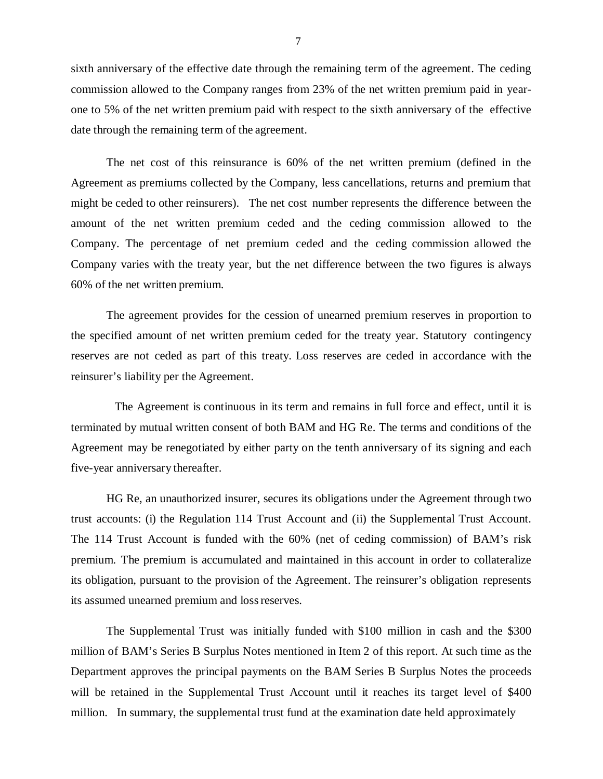sixth anniversary of the effective date through the remaining term of the agreement. The ceding commission allowed to the Company ranges from 23% of the net written premium paid in yearone to 5% of the net written premium paid with respect to the sixth anniversary of the effective date through the remaining term of the agreement.

The net cost of this reinsurance is 60% of the net written premium (defined in the Agreement as premiums collected by the Company, less cancellations, returns and premium that might be ceded to other reinsurers). The net cost number represents the difference between the amount of the net written premium ceded and the ceding commission allowed to the Company. The percentage of net premium ceded and the ceding commission allowed the Company varies with the treaty year, but the net difference between the two figures is always 60% of the net written premium.

The agreement provides for the cession of unearned premium reserves in proportion to the specified amount of net written premium ceded for the treaty year. Statutory contingency reserves are not ceded as part of this treaty. Loss reserves are ceded in accordance with the reinsurer's liability per the Agreement.

The Agreement is continuous in its term and remains in full force and effect, until it is terminated by mutual written consent of both BAM and HG Re. The terms and conditions of the Agreement may be renegotiated by either party on the tenth anniversary of its signing and each five-year anniversary thereafter.

HG Re, an unauthorized insurer, secures its obligations under the Agreement through two trust accounts: (i) the Regulation 114 Trust Account and (ii) the Supplemental Trust Account. The 114 Trust Account is funded with the 60% (net of ceding commission) of BAM's risk premium. The premium is accumulated and maintained in this account in order to collateralize its obligation, pursuant to the provision of the Agreement. The reinsurer's obligation represents its assumed unearned premium and loss reserves.

The Supplemental Trust was initially funded with \$100 million in cash and the \$300 million of BAM's Series B Surplus Notes mentioned in Item 2 of this report. At such time as the Department approves the principal payments on the BAM Series B Surplus Notes the proceeds will be retained in the Supplemental Trust Account until it reaches its target level of \$400 million. In summary, the supplemental trust fund at the examination date held approximately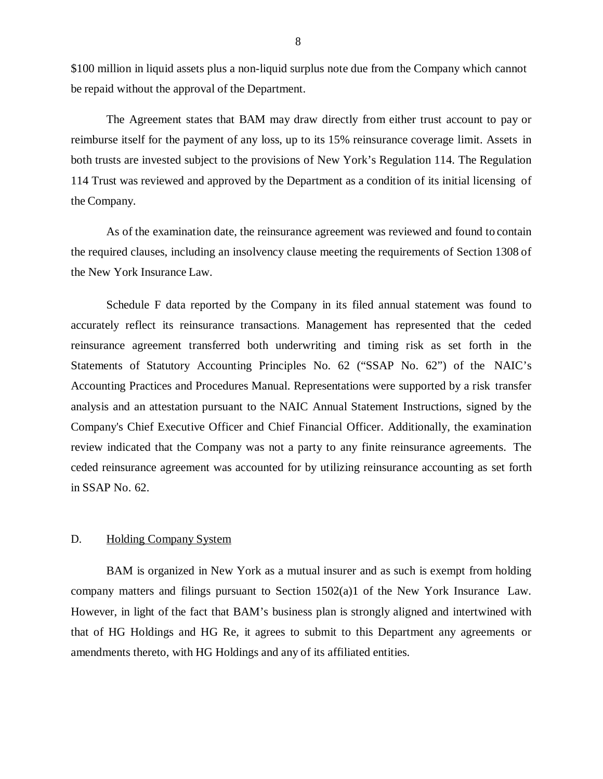<span id="page-9-0"></span>\$100 million in liquid assets plus a non-liquid surplus note due from the Company which cannot be repaid without the approval of the Department.

The Agreement states that BAM may draw directly from either trust account to pay or reimburse itself for the payment of any loss, up to its 15% reinsurance coverage limit. Assets in both trusts are invested subject to the provisions of New York's Regulation 114. The Regulation 114 Trust was reviewed and approved by the Department as a condition of its initial licensing of the Company.

As of the examination date, the reinsurance agreement was reviewed and found to contain the required clauses, including an insolvency clause meeting the requirements of Section 1308 of the New York Insurance Law.

Schedule F data reported by the Company in its filed annual statement was found to accurately reflect its reinsurance transactions. Management has represented that the ceded reinsurance agreement transferred both underwriting and timing risk as set forth in the Statements of Statutory Accounting Principles No. 62 ("SSAP No. 62") of the NAIC's Accounting Practices and Procedures Manual. Representations were supported by a risk transfer analysis and an attestation pursuant to the NAIC Annual Statement Instructions, signed by the Company's Chief Executive Officer and Chief Financial Officer. Additionally, the examination review indicated that the Company was not a party to any finite reinsurance agreements. The ceded reinsurance agreement was accounted for by utilizing reinsurance accounting as set forth in SSAP No. 62.

#### D. Holding Company System

BAM is organized in New York as a mutual insurer and as such is exempt from holding company matters and filings pursuant to Section 1502(a)1 of the New York Insurance Law. However, in light of the fact that BAM's business plan is strongly aligned and intertwined with that of HG Holdings and HG Re, it agrees to submit to this Department any agreements or amendments thereto, with HG Holdings and any of its affiliated entities.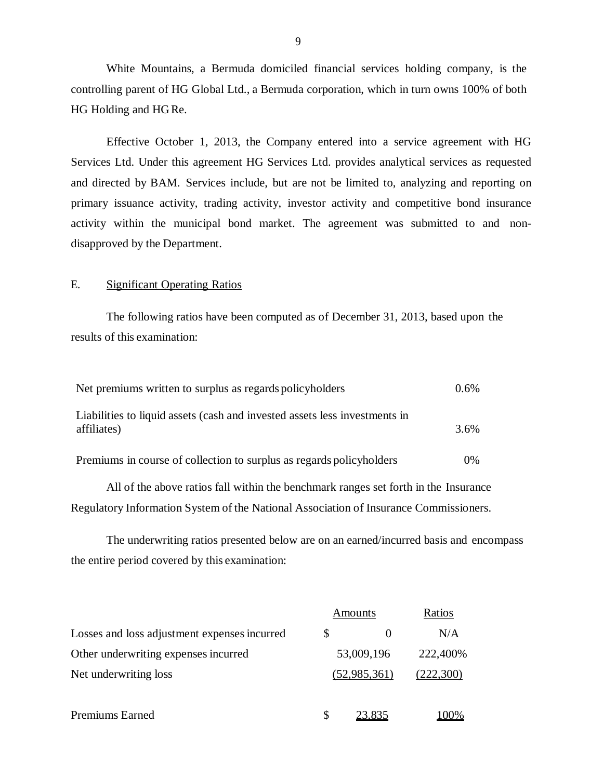White Mountains, a Bermuda domiciled financial services holding company, is the controlling parent of HG Global Ltd., a Bermuda corporation, which in turn owns 100% of both HG Holding and HG Re.

Effective October 1, 2013, the Company entered into a service agreement with HG Services Ltd. Under this agreement HG Services Ltd. provides analytical services as requested and directed by BAM. Services include, but are not be limited to, analyzing and reporting on primary issuance activity, trading activity, investor activity and competitive bond insurance activity within the municipal bond market. The agreement was submitted to and nondisapproved by the Department.

#### E. Significant Operating Ratios

The following ratios have been computed as of December 31, 2013, based upon the results of this examination:

| Net premiums written to surplus as regards policyholders                                  | $0.6\%$ |
|-------------------------------------------------------------------------------------------|---------|
| Liabilities to liquid assets (cash and invested assets less investments in<br>affiliates) | 3.6%    |
| Premiums in course of collection to surplus as regards policyholders                      | $0\%$   |

All of the above ratios fall within the benchmark ranges set forth in the Insurance Regulatory Information System of the National Association of Insurance Commissioners.

The underwriting ratios presented below are on an earned/incurred basis and encompass the entire period covered by this examination:

|                                              |   | Amounts      | Ratios    |
|----------------------------------------------|---|--------------|-----------|
| Losses and loss adjustment expenses incurred | S |              | N/A       |
| Other underwriting expenses incurred         |   | 53,009,196   | 222,400%  |
| Net underwriting loss                        |   | (52,985,361) | (222,300) |
|                                              |   |              |           |
| <b>Premiums Earned</b>                       | S | 23.835       | $(100\%$  |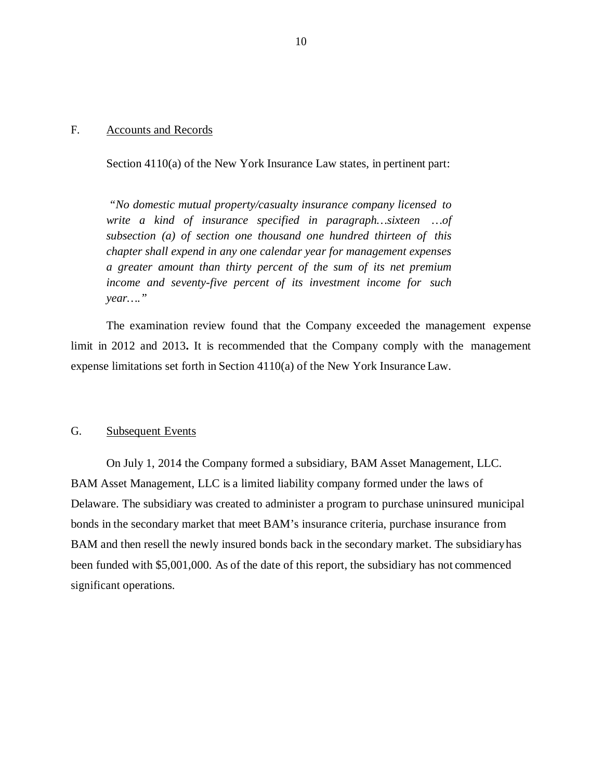#### <span id="page-11-0"></span>F. Accounts and Records

Section 4110(a) of the New York Insurance Law states, in pertinent part:

*"No domestic mutual property/casualty insurance company licensed to write a kind of insurance specified in paragraph…sixteen …of subsection (a) of section one thousand one hundred thirteen of this chapter shall expend in any one calendar year for management expenses a greater amount than thirty percent of the sum of its net premium income and seventy-five percent of its investment income for such year…."* 

The examination review found that the Company exceeded the management expense limit in 2012 and 2013**.** It is recommended that the Company comply with the management expense limitations set forth in Section 4110(a) of the New York Insurance Law.

#### G. Subsequent Events

On July 1, 2014 the Company formed a subsidiary, BAM Asset Management, LLC. BAM Asset Management, LLC is a limited liability company formed under the laws of Delaware. The subsidiary was created to administer a program to purchase uninsured municipal bonds in the secondary market that meet BAM's insurance criteria, purchase insurance from BAM and then resell the newly insured bonds back in the secondary market. The subsidiaryhas been funded with \$5,001,000. As of the date of this report, the subsidiary has not commenced significant operations.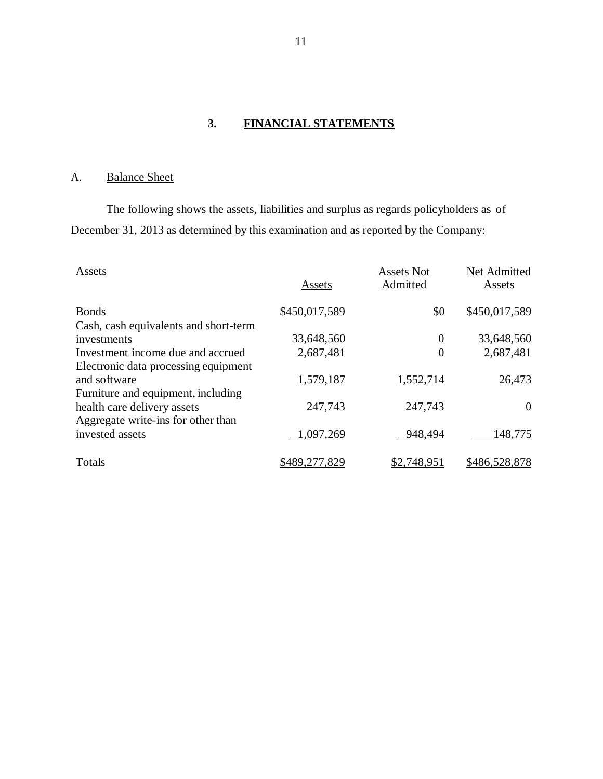## **3. FINANCIAL STATEMENTS**

## A. Balance Sheet

The following shows the assets, liabilities and surplus as regards policyholders as of December 31, 2013 as determined by this examination and as reported by the Company:

| Assets                                | Assets        | <b>Assets Not</b><br>Admitted | Net Admitted<br>Assets |
|---------------------------------------|---------------|-------------------------------|------------------------|
| <b>Bonds</b>                          | \$450,017,589 | \$0                           | \$450,017,589          |
| Cash, cash equivalents and short-term |               |                               |                        |
| investments                           | 33,648,560    | $\theta$                      | 33,648,560             |
| Investment income due and accrued     | 2,687,481     | $\overline{0}$                | 2,687,481              |
| Electronic data processing equipment  |               |                               |                        |
| and software                          | 1,579,187     | 1,552,714                     | 26,473                 |
| Furniture and equipment, including    |               |                               |                        |
| health care delivery assets           | 247,743       | 247,743                       | $\overline{0}$         |
| Aggregate write-ins for other than    |               |                               |                        |
| invested assets                       | 1,097,269     | 948,494                       | 148,775                |
| Totals                                | \$489,277,829 | \$2,748,951                   | \$486,528,878          |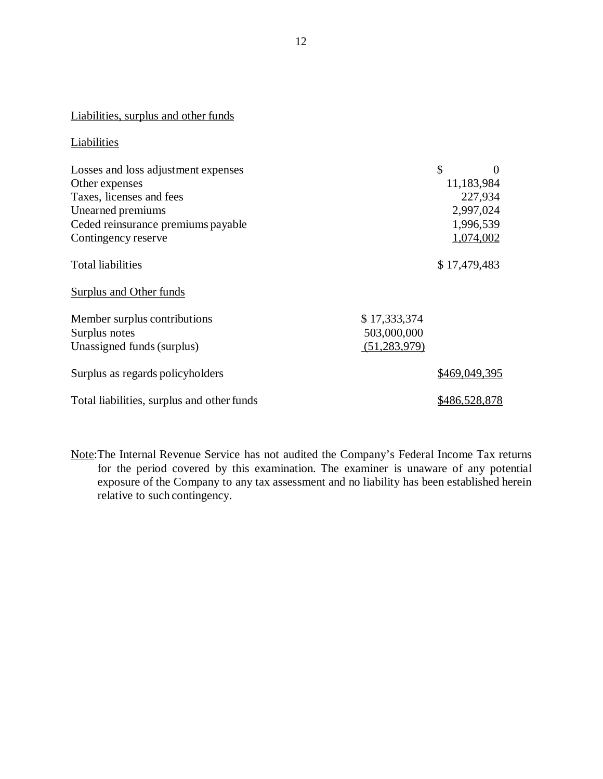## Liabilities, surplus and other funds

#### **Liabilities**

| Losses and loss adjustment expenses        | \$             | 0             |
|--------------------------------------------|----------------|---------------|
| Other expenses                             |                | 11,183,984    |
| Taxes, licenses and fees                   |                | 227,934       |
| Unearned premiums                          |                | 2,997,024     |
| Ceded reinsurance premiums payable         |                | 1,996,539     |
| Contingency reserve                        |                | 1,074,002     |
| <b>Total liabilities</b>                   |                | \$17,479,483  |
| Surplus and Other funds                    |                |               |
| Member surplus contributions               | \$17,333,374   |               |
| Surplus notes                              | 503,000,000    |               |
| Unassigned funds (surplus)                 | (51, 283, 979) |               |
| Surplus as regards policyholders           |                | \$469,049,395 |
| Total liabilities, surplus and other funds |                | \$486,528,878 |

Note:The Internal Revenue Service has not audited the Company's Federal Income Tax returns for the period covered by this examination. The examiner is unaware of any potential exposure of the Company to any tax assessment and no liability has been established herein relative to such contingency.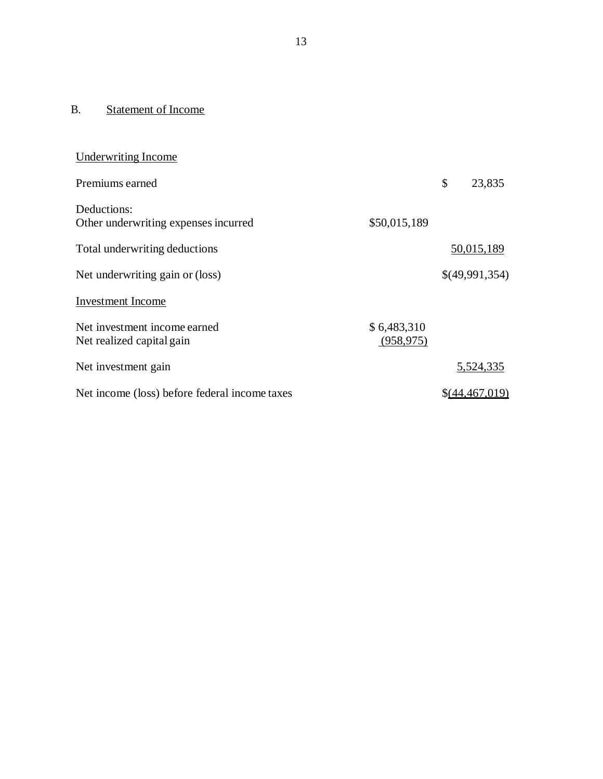## <span id="page-14-0"></span>B. Statement of Income

| <b>Underwriting Income</b>                                |                           |                |
|-----------------------------------------------------------|---------------------------|----------------|
| Premiums earned                                           |                           | \$<br>23,835   |
| Deductions:<br>Other underwriting expenses incurred       | \$50,015,189              |                |
| Total underwriting deductions                             |                           | 50,015,189     |
| Net underwriting gain or (loss)                           |                           | \$(49,991,354) |
| <b>Investment</b> Income                                  |                           |                |
| Net investment income earned<br>Net realized capital gain | \$6,483,310<br>(958, 975) |                |
| Net investment gain                                       |                           | 5,524,335      |
| Net income (loss) before federal income taxes             |                           | \$(44,467,019) |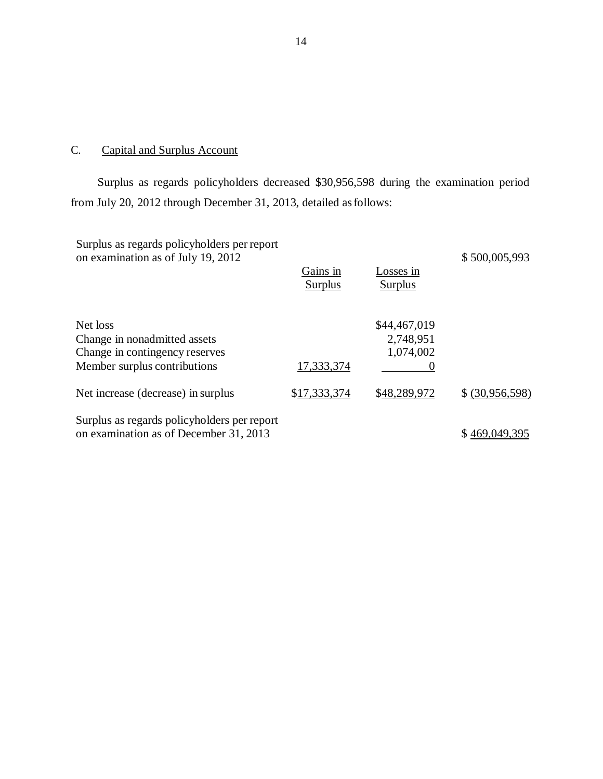#### C. Capital and Surplus Account

Surplus as regards policyholders decreased \$30,956,598 during the examination period from July 20, 2012 through December 31, 2013, detailed as follows:

| Surplus as regards policyholders per report<br>on examination as of July 19, 2012                          | Gains in<br><b>Surplus</b> | Losses in<br>Surplus                   | \$500,005,993   |
|------------------------------------------------------------------------------------------------------------|----------------------------|----------------------------------------|-----------------|
| Net loss<br>Change in nonadmitted assets<br>Change in contingency reserves<br>Member surplus contributions | 17,333,374                 | \$44,467,019<br>2,748,951<br>1,074,002 |                 |
| Net increase (decrease) in surplus                                                                         | \$17,333,374               | \$48,289,972                           | \$ (30,956,598) |
| Surplus as regards policyholders per report<br>on examination as of December 31, 2013                      |                            |                                        | \$469,049,395   |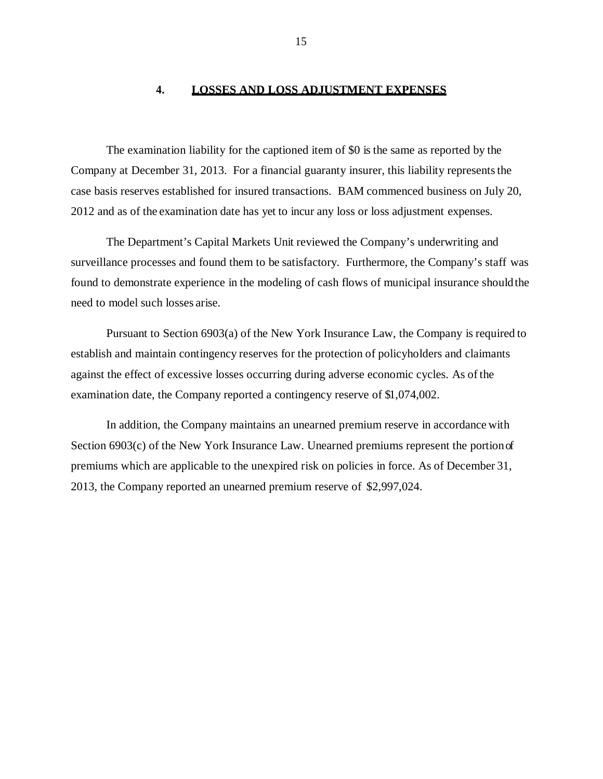#### **4. LOSSES AND LOSS ADJUSTMENT EXPENSES**

<span id="page-16-0"></span>The examination liability for the captioned item of \$0 is the same as reported by the Company at December 31, 2013. For a financial guaranty insurer, this liability represents the case basis reserves established for insured transactions. BAM commenced business on July 20, 2012 and as of the examination date has yet to incur any loss or loss adjustment expenses.

The Department's Capital Markets Unit reviewed the Company's underwriting and surveillance processes and found them to be satisfactory. Furthermore, the Company's staff was found to demonstrate experience in the modeling of cash flows of municipal insurance shouldthe need to model such losses arise.

Pursuant to Section 6903(a) of the New York Insurance Law, the Company is required to establish and maintain contingency reserves for the protection of policyholders and claimants against the effect of excessive losses occurring during adverse economic cycles. As of the examination date, the Company reported a contingency reserve of \$1,074,002.

In addition, the Company maintains an unearned premium reserve in accordance with Section 6903(c) of the New York Insurance Law. Unearned premiums represent the portion of premiums which are applicable to the unexpired risk on policies in force. As of December 31, 2013, the Company reported an unearned premium reserve of \$2,997,024.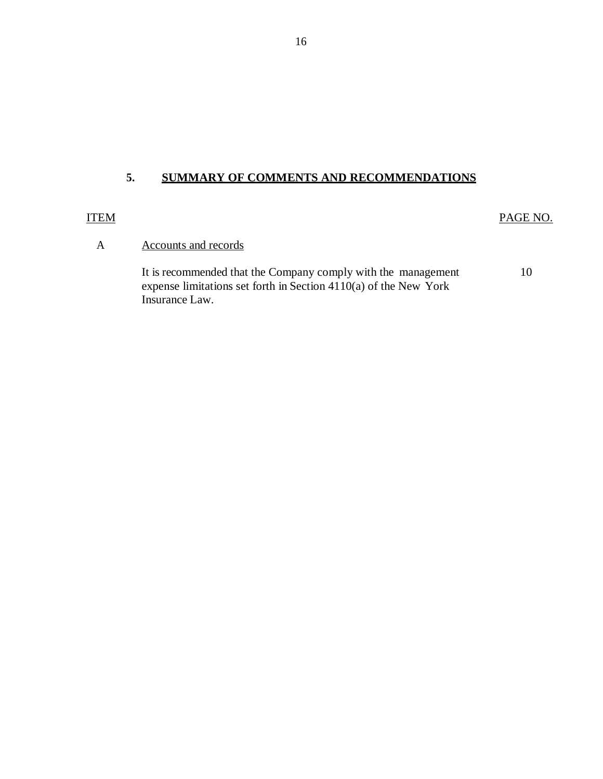## **5. SUMMARY OF COMMENTS AND RECOMMENDATIONS**

#### ITEM

PAGE NO.

## A Accounts and records

It is recommended that the Company comply with the management expense limitations set forth in Section 4110(a) of the New York Insurance Law. 10